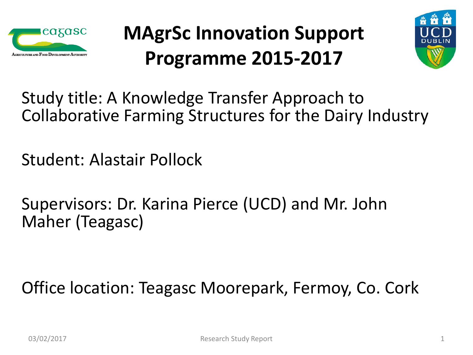

### **MAgrSc Innovation Support Programme 2015-2017**



Study title: A Knowledge Transfer Approach to Collaborative Farming Structures for the Dairy Industry

Student: Alastair Pollock

Supervisors: Dr. Karina Pierce (UCD) and Mr. John Maher (Teagasc)

Office location: Teagasc Moorepark, Fermoy, Co. Cork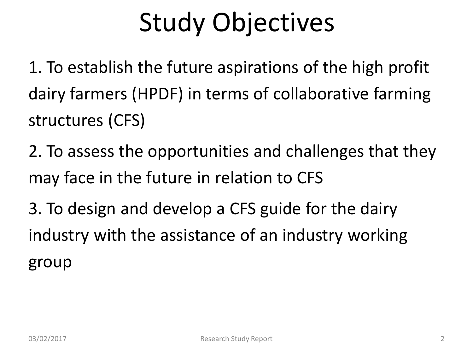# Study Objectives

1. To establish the future aspirations of the high profit dairy farmers (HPDF) in terms of collaborative farming structures (CFS)

2. To assess the opportunities and challenges that they may face in the future in relation to CFS

3. To design and develop a CFS guide for the dairy industry with the assistance of an industry working group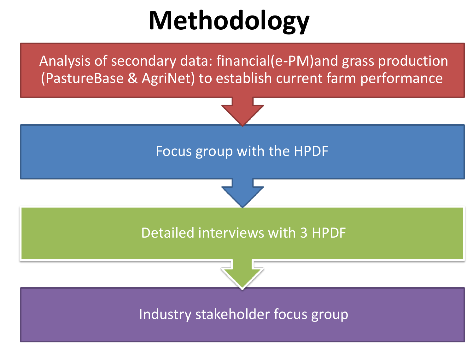## **Methodology**

Analysis of secondary data: financial(e-PM)and grass production (PastureBase & AgriNet) to establish current farm performance

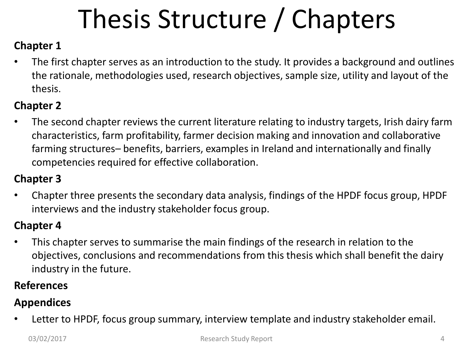# Thesis Structure / Chapters

#### **Chapter 1**

• The first chapter serves as an introduction to the study. It provides a background and outlines the rationale, methodologies used, research objectives, sample size, utility and layout of the thesis.

#### **Chapter 2**

• The second chapter reviews the current literature relating to industry targets, Irish dairy farm characteristics, farm profitability, farmer decision making and innovation and collaborative farming structures– benefits, barriers, examples in Ireland and internationally and finally competencies required for effective collaboration.

#### **Chapter 3**

• Chapter three presents the secondary data analysis, findings of the HPDF focus group, HPDF interviews and the industry stakeholder focus group.

#### **Chapter 4**

• This chapter serves to summarise the main findings of the research in relation to the objectives, conclusions and recommendations from this thesis which shall benefit the dairy industry in the future.

#### **References**

#### **Appendices**

• Letter to HPDF, focus group summary, interview template and industry stakeholder email.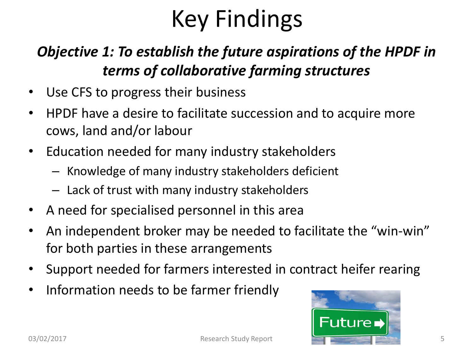## Key Findings

#### *Objective 1: To establish the future aspirations of the HPDF in terms of collaborative farming structures*

- Use CFS to progress their business
- HPDF have a desire to facilitate succession and to acquire more cows, land and/or labour
- Education needed for many industry stakeholders
	- Knowledge of many industry stakeholders deficient
	- Lack of trust with many industry stakeholders
- A need for specialised personnel in this area
- An independent broker may be needed to facilitate the "win-win" for both parties in these arrangements
- Support needed for farmers interested in contract heifer rearing
- Information needs to be farmer friendly

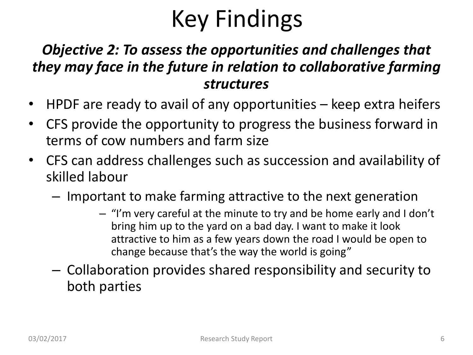## Key Findings

#### *Objective 2: To assess the opportunities and challenges that they may face in the future in relation to collaborative farming structures*

- HPDF are ready to avail of any opportunities keep extra heifers
- CFS provide the opportunity to progress the business forward in terms of cow numbers and farm size
- CFS can address challenges such as succession and availability of skilled labour
	- Important to make farming attractive to the next generation
		- "I'm very careful at the minute to try and be home early and I don't bring him up to the yard on a bad day. I want to make it look attractive to him as a few years down the road I would be open to change because that's the way the world is going"
	- Collaboration provides shared responsibility and security to both parties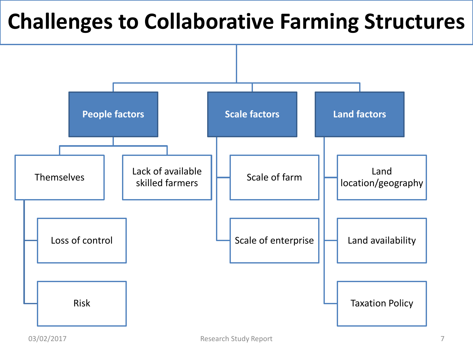### **Challenges to Collaborative Farming Structures**

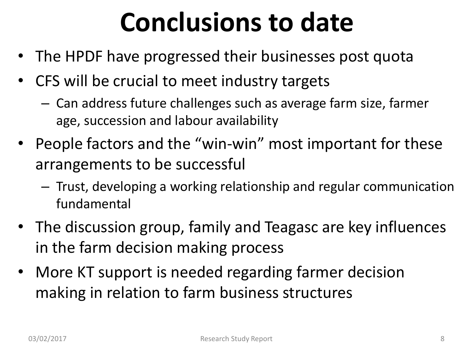## **Conclusions to date**

- The HPDF have progressed their businesses post quota
- CFS will be crucial to meet industry targets
	- Can address future challenges such as average farm size, farmer age, succession and labour availability
- People factors and the "win-win" most important for these arrangements to be successful
	- Trust, developing a working relationship and regular communication fundamental
- The discussion group, family and Teagasc are key influences in the farm decision making process
- More KT support is needed regarding farmer decision making in relation to farm business structures